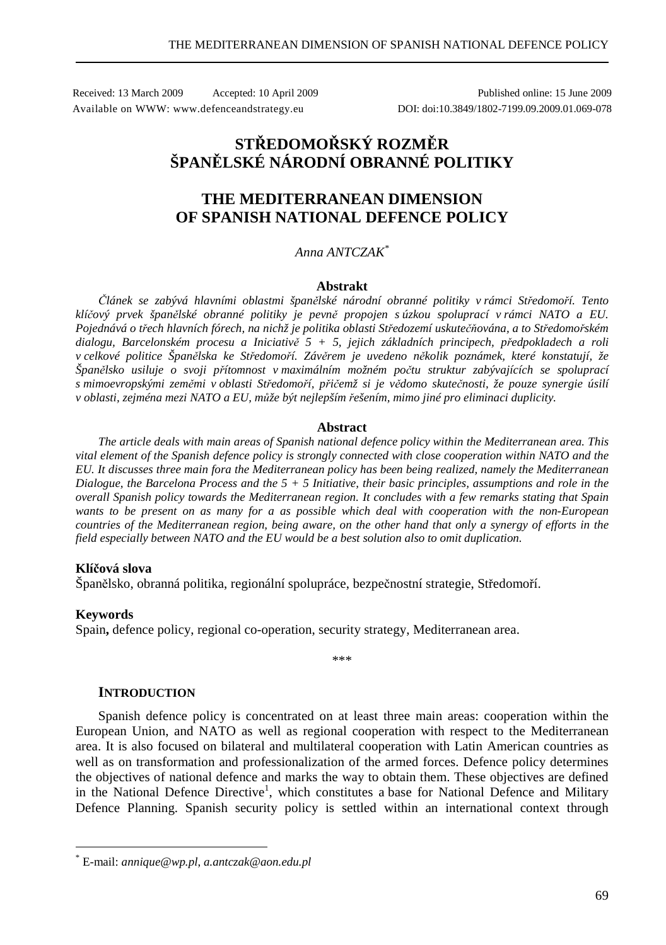Received: 13 March 2009 Accepted: 10 April 2009 Published online: 15 June 2009 Available on WWW: www.defenceandstrategy.eu DOI: doi:10.3849/1802-7199.09.2009.01.069-078

# **STŘEDOMOŘSKÝ ROZMĚR ŠPANĚLSKÉ NÁRODNÍ OBRANNÉ POLITIKY**

## **THE MEDITERRANEAN DIMENSION OF SPANISH NATIONAL DEFENCE POLICY**

## *Anna ANTCZAK\**

#### **Abstrakt**

*Článek se zabývá hlavními oblastmi španělské národní obranné politiky v rámci Středomoří. Tento klíčový prvek španělské obranné politiky je pevně propojen s úzkou spoluprací v rámci NATO a EU. Pojednává o třech hlavních fórech, na nichž je politika oblasti Středozemí uskutečňována, a to Středomořském dialogu, Barcelonském procesu a Iniciativě 5 + 5, jejich základních principech, předpokladech a roli v celkové politice Španělska ke Středomoří. Závěrem je uvedeno několik poznámek, které konstatují, že Španělsko usiluje o svoji přítomnost v maximálním možném počtu struktur zabývajících se spoluprací s mimoevropskými zeměmi v oblasti Středomoří, přičemž si je vědomo skutečnosti, že pouze synergie úsilí v oblasti, zejména mezi NATO a EU, může být nejlepším řešením, mimo jiné pro eliminaci duplicity.* 

#### **Abstract**

*The article deals with main areas of Spanish national defence policy within the Mediterranean area. This vital element of the Spanish defence policy is strongly connected with close cooperation within NATO and the EU. It discusses three main fora the Mediterranean policy has been being realized, namely the Mediterranean Dialogue, the Barcelona Process and the 5 + 5 Initiative, their basic principles, assumptions and role in the overall Spanish policy towards the Mediterranean region. It concludes with a few remarks stating that Spain wants to be present on as many for a as possible which deal with cooperation with the non-European countries of the Mediterranean region, being aware, on the other hand that only a synergy of efforts in the field especially between NATO and the EU would be a best solution also to omit duplication.* 

## **Klíčová slova**

Španělsko, obranná politika, regionální spolupráce, bezpečnostní strategie, Středomoří.

#### **Keywords**

 $\overline{a}$ 

Spain**,** defence policy, regional co-operation, security strategy, Mediterranean area.

\*\*\*

#### **INTRODUCTION**

Spanish defence policy is concentrated on at least three main areas: cooperation within the European Union, and NATO as well as regional cooperation with respect to the Mediterranean area. It is also focused on bilateral and multilateral cooperation with Latin American countries as well as on transformation and professionalization of the armed forces. Defence policy determines the objectives of national defence and marks the way to obtain them. These objectives are defined in the National Defence Directive<sup>1</sup>, which constitutes a base for National Defence and Military Defence Planning. Spanish security policy is settled within an international context through

<sup>\*</sup> E-mail: *annique@wp.pl*, *a.antczak@aon.edu.pl*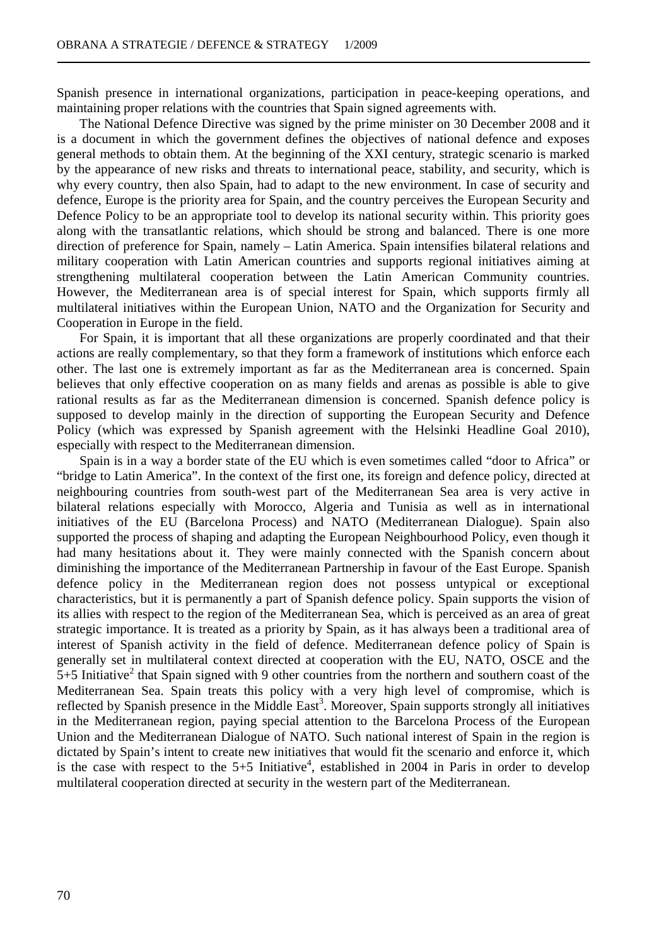Spanish presence in international organizations, participation in peace-keeping operations, and maintaining proper relations with the countries that Spain signed agreements with.

The National Defence Directive was signed by the prime minister on 30 December 2008 and it is a document in which the government defines the objectives of national defence and exposes general methods to obtain them. At the beginning of the XXI century, strategic scenario is marked by the appearance of new risks and threats to international peace, stability, and security, which is why every country, then also Spain, had to adapt to the new environment. In case of security and defence, Europe is the priority area for Spain, and the country perceives the European Security and Defence Policy to be an appropriate tool to develop its national security within. This priority goes along with the transatlantic relations, which should be strong and balanced. There is one more direction of preference for Spain, namely – Latin America. Spain intensifies bilateral relations and military cooperation with Latin American countries and supports regional initiatives aiming at strengthening multilateral cooperation between the Latin American Community countries. However, the Mediterranean area is of special interest for Spain, which supports firmly all multilateral initiatives within the European Union, NATO and the Organization for Security and Cooperation in Europe in the field.

For Spain, it is important that all these organizations are properly coordinated and that their actions are really complementary, so that they form a framework of institutions which enforce each other. The last one is extremely important as far as the Mediterranean area is concerned. Spain believes that only effective cooperation on as many fields and arenas as possible is able to give rational results as far as the Mediterranean dimension is concerned. Spanish defence policy is supposed to develop mainly in the direction of supporting the European Security and Defence Policy (which was expressed by Spanish agreement with the Helsinki Headline Goal 2010), especially with respect to the Mediterranean dimension.

Spain is in a way a border state of the EU which is even sometimes called "door to Africa" or "bridge to Latin America". In the context of the first one, its foreign and defence policy, directed at neighbouring countries from south-west part of the Mediterranean Sea area is very active in bilateral relations especially with Morocco, Algeria and Tunisia as well as in international initiatives of the EU (Barcelona Process) and NATO (Mediterranean Dialogue). Spain also supported the process of shaping and adapting the European Neighbourhood Policy, even though it had many hesitations about it. They were mainly connected with the Spanish concern about diminishing the importance of the Mediterranean Partnership in favour of the East Europe. Spanish defence policy in the Mediterranean region does not possess untypical or exceptional characteristics, but it is permanently a part of Spanish defence policy. Spain supports the vision of its allies with respect to the region of the Mediterranean Sea, which is perceived as an area of great strategic importance. It is treated as a priority by Spain, as it has always been a traditional area of interest of Spanish activity in the field of defence. Mediterranean defence policy of Spain is generally set in multilateral context directed at cooperation with the EU, NATO, OSCE and the  $5+5$  Initiative<sup>2</sup> that Spain signed with 9 other countries from the northern and southern coast of the Mediterranean Sea. Spain treats this policy with a very high level of compromise, which is reflected by Spanish presence in the Middle East<sup>3</sup>. Moreover, Spain supports strongly all initiatives in the Mediterranean region, paying special attention to the Barcelona Process of the European Union and the Mediterranean Dialogue of NATO. Such national interest of Spain in the region is dictated by Spain's intent to create new initiatives that would fit the scenario and enforce it, which is the case with respect to the  $5+5$  Initiative<sup>4</sup>, established in 2004 in Paris in order to develop multilateral cooperation directed at security in the western part of the Mediterranean.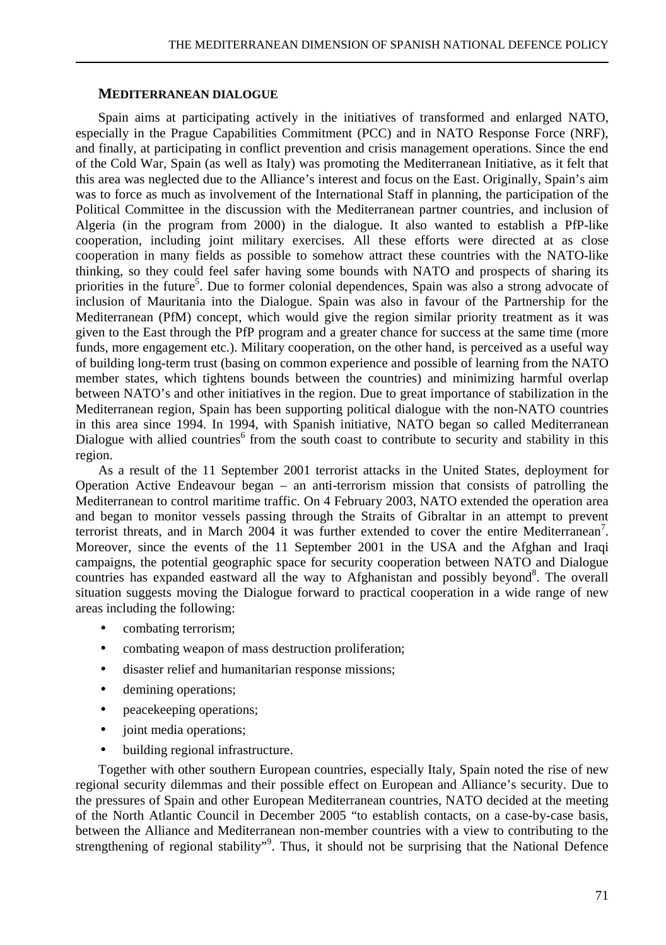## **MEDITERRANEAN DIALOGUE**

Spain aims at participating actively in the initiatives of transformed and enlarged NATO, especially in the Prague Capabilities Commitment (PCC) and in NATO Response Force (NRF), and finally, at participating in conflict prevention and crisis management operations. Since the end of the Cold War, Spain (as well as Italy) was promoting the Mediterranean Initiative, as it felt that this area was neglected due to the Alliance's interest and focus on the East. Originally, Spain's aim was to force as much as involvement of the International Staff in planning, the participation of the Political Committee in the discussion with the Mediterranean partner countries, and inclusion of Algeria (in the program from 2000) in the dialogue. It also wanted to establish a PfP-like cooperation, including joint military exercises. All these efforts were directed at as close cooperation in many fields as possible to somehow attract these countries with the NATO-like thinking, so they could feel safer having some bounds with NATO and prospects of sharing its priorities in the future<sup>5</sup>. Due to former colonial dependences, Spain was also a strong advocate of inclusion of Mauritania into the Dialogue. Spain was also in favour of the Partnership for the Mediterranean (PfM) concept, which would give the region similar priority treatment as it was given to the East through the PfP program and a greater chance for success at the same time (more funds, more engagement etc.). Military cooperation, on the other hand, is perceived as a useful way of building long-term trust (basing on common experience and possible of learning from the NATO member states, which tightens bounds between the countries) and minimizing harmful overlap between NATO's and other initiatives in the region. Due to great importance of stabilization in the Mediterranean region, Spain has been supporting political dialogue with the non-NATO countries in this area since 1994. In 1994, with Spanish initiative, NATO began so called Mediterranean Dialogue with allied countries<sup>6</sup> from the south coast to contribute to security and stability in this region.

As a result of the 11 September 2001 terrorist attacks in the United States, deployment for Operation Active Endeavour began – an anti-terrorism mission that consists of patrolling the Mediterranean to control maritime traffic. On 4 February 2003, NATO extended the operation area and began to monitor vessels passing through the Straits of Gibraltar in an attempt to prevent terrorist threats, and in March 2004 it was further extended to cover the entire Mediterranean<sup>7</sup>. Moreover, since the events of the 11 September 2001 in the USA and the Afghan and Iraqi campaigns, the potential geographic space for security cooperation between NATO and Dialogue countries has expanded eastward all the way to Afghanistan and possibly beyond<sup>8</sup>. The overall situation suggests moving the Dialogue forward to practical cooperation in a wide range of new areas including the following:

- combating terrorism;
- combating weapon of mass destruction proliferation;
- disaster relief and humanitarian response missions;
- demining operations;
- peacekeeping operations;
- joint media operations;
- building regional infrastructure.

Together with other southern European countries, especially Italy, Spain noted the rise of new regional security dilemmas and their possible effect on European and Alliance's security. Due to the pressures of Spain and other European Mediterranean countries, NATO decided at the meeting of the North Atlantic Council in December 2005 "to establish contacts, on a case-by-case basis, between the Alliance and Mediterranean non-member countries with a view to contributing to the strengthening of regional stability"<sup>9</sup>. Thus, it should not be surprising that the National Defence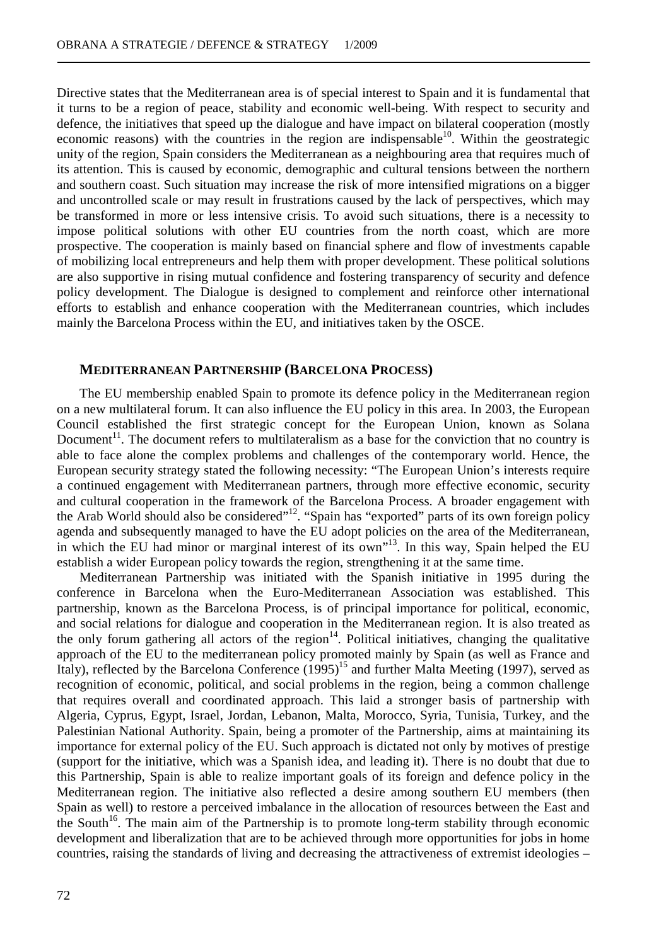Directive states that the Mediterranean area is of special interest to Spain and it is fundamental that it turns to be a region of peace, stability and economic well-being. With respect to security and defence, the initiatives that speed up the dialogue and have impact on bilateral cooperation (mostly economic reasons) with the countries in the region are indispensable<sup>10</sup>. Within the geostrategic unity of the region, Spain considers the Mediterranean as a neighbouring area that requires much of its attention. This is caused by economic, demographic and cultural tensions between the northern and southern coast. Such situation may increase the risk of more intensified migrations on a bigger and uncontrolled scale or may result in frustrations caused by the lack of perspectives, which may be transformed in more or less intensive crisis. To avoid such situations, there is a necessity to impose political solutions with other EU countries from the north coast, which are more prospective. The cooperation is mainly based on financial sphere and flow of investments capable of mobilizing local entrepreneurs and help them with proper development. These political solutions are also supportive in rising mutual confidence and fostering transparency of security and defence policy development. The Dialogue is designed to complement and reinforce other international efforts to establish and enhance cooperation with the Mediterranean countries, which includes mainly the Barcelona Process within the EU, and initiatives taken by the OSCE.

## **MEDITERRANEAN PARTNERSHIP (BARCELONA PROCESS)**

The EU membership enabled Spain to promote its defence policy in the Mediterranean region on a new multilateral forum. It can also influence the EU policy in this area. In 2003, the European Council established the first strategic concept for the European Union, known as Solana Document<sup>11</sup>. The document refers to multilateralism as a base for the conviction that no country is able to face alone the complex problems and challenges of the contemporary world. Hence, the European security strategy stated the following necessity: "The European Union's interests require a continued engagement with Mediterranean partners, through more effective economic, security and cultural cooperation in the framework of the Barcelona Process. A broader engagement with the Arab World should also be considered"<sup>12</sup>. "Spain has "exported" parts of its own foreign policy agenda and subsequently managed to have the EU adopt policies on the area of the Mediterranean, in which the EU had minor or marginal interest of its own<sup>"13</sup>. In this way, Spain helped the EU establish a wider European policy towards the region, strengthening it at the same time.

Mediterranean Partnership was initiated with the Spanish initiative in 1995 during the conference in Barcelona when the Euro-Mediterranean Association was established. This partnership, known as the Barcelona Process, is of principal importance for political, economic, and social relations for dialogue and cooperation in the Mediterranean region. It is also treated as the only forum gathering all actors of the region<sup>14</sup>. Political initiatives, changing the qualitative approach of the EU to the mediterranean policy promoted mainly by Spain (as well as France and Italy), reflected by the Barcelona Conference (1995)<sup>15</sup> and further Malta Meeting (1997), served as recognition of economic, political, and social problems in the region, being a common challenge that requires overall and coordinated approach. This laid a stronger basis of partnership with Algeria, Cyprus, Egypt, Israel, Jordan, Lebanon, Malta, Morocco, Syria, Tunisia, Turkey, and the Palestinian National Authority. Spain, being a promoter of the Partnership, aims at maintaining its importance for external policy of the EU. Such approach is dictated not only by motives of prestige (support for the initiative, which was a Spanish idea, and leading it). There is no doubt that due to this Partnership, Spain is able to realize important goals of its foreign and defence policy in the Mediterranean region. The initiative also reflected a desire among southern EU members (then Spain as well) to restore a perceived imbalance in the allocation of resources between the East and the South<sup>16</sup>. The main aim of the Partnership is to promote long-term stability through economic development and liberalization that are to be achieved through more opportunities for jobs in home countries, raising the standards of living and decreasing the attractiveness of extremist ideologies –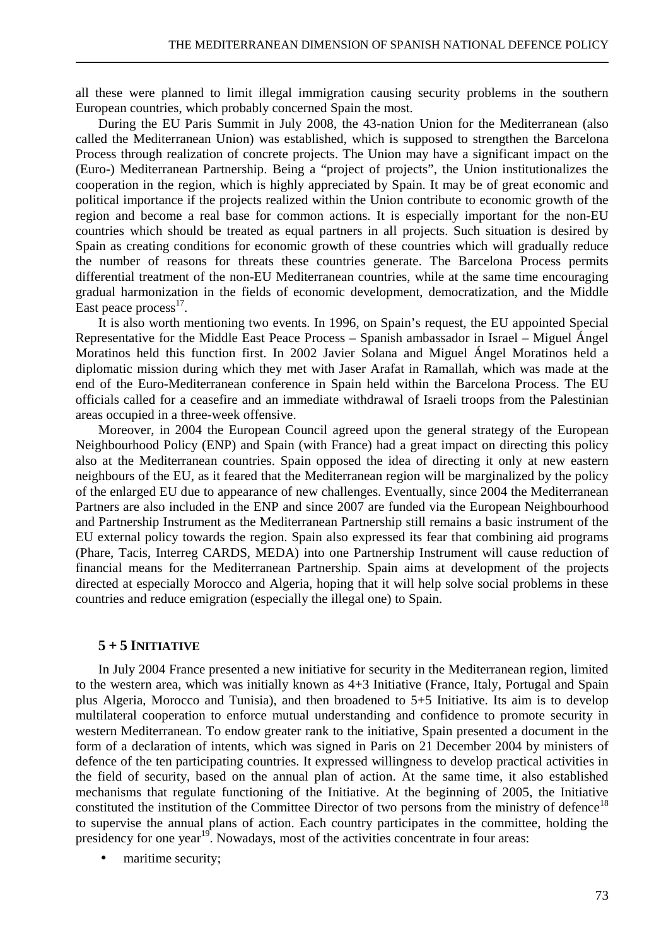all these were planned to limit illegal immigration causing security problems in the southern European countries, which probably concerned Spain the most.

During the EU Paris Summit in July 2008, the 43-nation Union for the Mediterranean (also called the Mediterranean Union) was established, which is supposed to strengthen the Barcelona Process through realization of concrete projects. The Union may have a significant impact on the (Euro-) Mediterranean Partnership. Being a "project of projects", the Union institutionalizes the cooperation in the region, which is highly appreciated by Spain. It may be of great economic and political importance if the projects realized within the Union contribute to economic growth of the region and become a real base for common actions. It is especially important for the non-EU countries which should be treated as equal partners in all projects. Such situation is desired by Spain as creating conditions for economic growth of these countries which will gradually reduce the number of reasons for threats these countries generate. The Barcelona Process permits differential treatment of the non-EU Mediterranean countries, while at the same time encouraging gradual harmonization in the fields of economic development, democratization, and the Middle East peace process<sup>17</sup>.

It is also worth mentioning two events. In 1996, on Spain's request, the EU appointed Special Representative for the Middle East Peace Process – Spanish ambassador in Israel – Miguel Ángel Moratinos held this function first. In 2002 Javier Solana and Miguel Ángel Moratinos held a diplomatic mission during which they met with Jaser Arafat in Ramallah, which was made at the end of the Euro-Mediterranean conference in Spain held within the Barcelona Process. The EU officials called for a ceasefire and an immediate withdrawal of Israeli troops from the Palestinian areas occupied in a three-week offensive.

Moreover, in 2004 the European Council agreed upon the general strategy of the European Neighbourhood Policy (ENP) and Spain (with France) had a great impact on directing this policy also at the Mediterranean countries. Spain opposed the idea of directing it only at new eastern neighbours of the EU, as it feared that the Mediterranean region will be marginalized by the policy of the enlarged EU due to appearance of new challenges. Eventually, since 2004 the Mediterranean Partners are also included in the ENP and since 2007 are funded via the European Neighbourhood and Partnership Instrument as the Mediterranean Partnership still remains a basic instrument of the EU external policy towards the region. Spain also expressed its fear that combining aid programs (Phare, Tacis, Interreg CARDS, MEDA) into one Partnership Instrument will cause reduction of financial means for the Mediterranean Partnership. Spain aims at development of the projects directed at especially Morocco and Algeria, hoping that it will help solve social problems in these countries and reduce emigration (especially the illegal one) to Spain.

## $5 + 5$  **INITIATIVE**

In July 2004 France presented a new initiative for security in the Mediterranean region, limited to the western area, which was initially known as 4+3 Initiative (France, Italy, Portugal and Spain plus Algeria, Morocco and Tunisia), and then broadened to 5+5 Initiative. Its aim is to develop multilateral cooperation to enforce mutual understanding and confidence to promote security in western Mediterranean. To endow greater rank to the initiative, Spain presented a document in the form of a declaration of intents, which was signed in Paris on 21 December 2004 by ministers of defence of the ten participating countries. It expressed willingness to develop practical activities in the field of security, based on the annual plan of action. At the same time, it also established mechanisms that regulate functioning of the Initiative. At the beginning of 2005, the Initiative constituted the institution of the Committee Director of two persons from the ministry of defence<sup>18</sup> to supervise the annual plans of action. Each country participates in the committee, holding the presidency for one year<sup>19</sup>. Nowadays, most of the activities concentrate in four areas:

maritime security;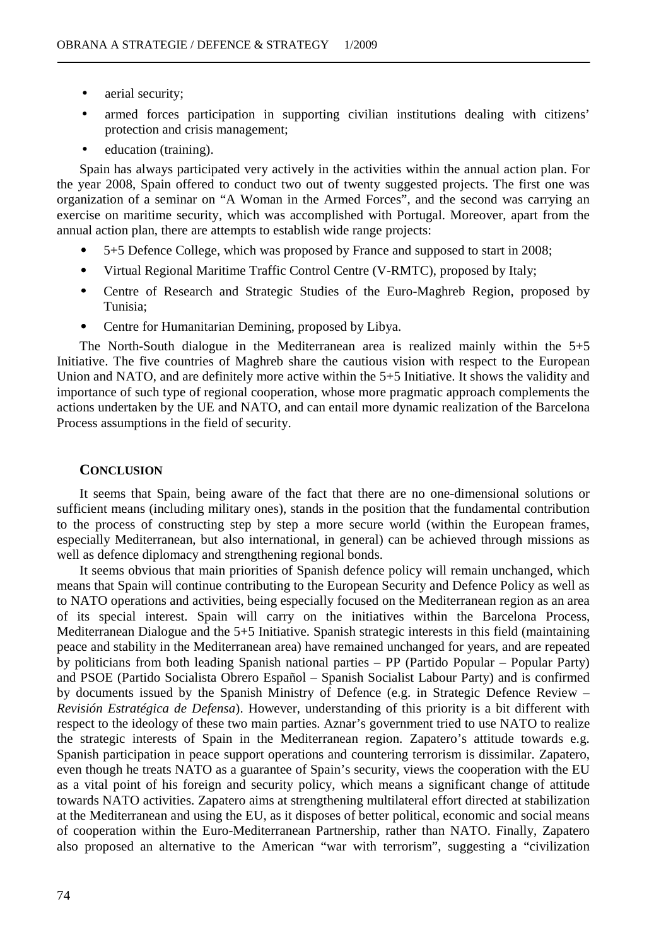- aerial security;
- armed forces participation in supporting civilian institutions dealing with citizens' protection and crisis management;
- education (training).

Spain has always participated very actively in the activities within the annual action plan. For the year 2008, Spain offered to conduct two out of twenty suggested projects. The first one was organization of a seminar on "A Woman in the Armed Forces", and the second was carrying an exercise on maritime security, which was accomplished with Portugal. Moreover, apart from the annual action plan, there are attempts to establish wide range projects:

- 5+5 Defence College, which was proposed by France and supposed to start in 2008;
- Virtual Regional Maritime Traffic Control Centre (V-RMTC), proposed by Italy;
- Centre of Research and Strategic Studies of the Euro-Maghreb Region, proposed by Tunisia;
- Centre for Humanitarian Demining, proposed by Libya.

The North-South dialogue in the Mediterranean area is realized mainly within the 5+5 Initiative. The five countries of Maghreb share the cautious vision with respect to the European Union and NATO, and are definitely more active within the 5+5 Initiative. It shows the validity and importance of such type of regional cooperation, whose more pragmatic approach complements the actions undertaken by the UE and NATO, and can entail more dynamic realization of the Barcelona Process assumptions in the field of security.

## **CONCLUSION**

It seems that Spain, being aware of the fact that there are no one-dimensional solutions or sufficient means (including military ones), stands in the position that the fundamental contribution to the process of constructing step by step a more secure world (within the European frames, especially Mediterranean, but also international, in general) can be achieved through missions as well as defence diplomacy and strengthening regional bonds.

It seems obvious that main priorities of Spanish defence policy will remain unchanged, which means that Spain will continue contributing to the European Security and Defence Policy as well as to NATO operations and activities, being especially focused on the Mediterranean region as an area of its special interest. Spain will carry on the initiatives within the Barcelona Process, Mediterranean Dialogue and the 5+5 Initiative. Spanish strategic interests in this field (maintaining peace and stability in the Mediterranean area) have remained unchanged for years, and are repeated by politicians from both leading Spanish national parties – PP (Partido Popular – Popular Party) and PSOE (Partido Socialista Obrero Español – Spanish Socialist Labour Party) and is confirmed by documents issued by the Spanish Ministry of Defence (e.g. in Strategic Defence Review – *Revisión Estratégica de Defensa*). However, understanding of this priority is a bit different with respect to the ideology of these two main parties. Aznar's government tried to use NATO to realize the strategic interests of Spain in the Mediterranean region. Zapatero's attitude towards e.g. Spanish participation in peace support operations and countering terrorism is dissimilar. Zapatero, even though he treats NATO as a guarantee of Spain's security, views the cooperation with the EU as a vital point of his foreign and security policy, which means a significant change of attitude towards NATO activities. Zapatero aims at strengthening multilateral effort directed at stabilization at the Mediterranean and using the EU, as it disposes of better political, economic and social means of cooperation within the Euro-Mediterranean Partnership, rather than NATO. Finally, Zapatero also proposed an alternative to the American "war with terrorism", suggesting a "civilization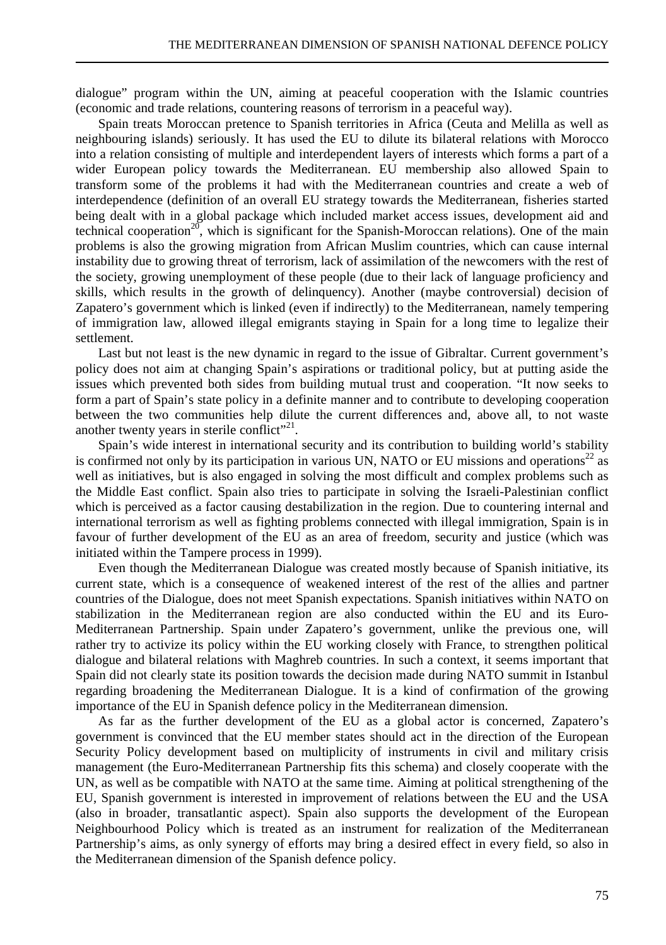dialogue" program within the UN, aiming at peaceful cooperation with the Islamic countries (economic and trade relations, countering reasons of terrorism in a peaceful way).

Spain treats Moroccan pretence to Spanish territories in Africa (Ceuta and Melilla as well as neighbouring islands) seriously. It has used the EU to dilute its bilateral relations with Morocco into a relation consisting of multiple and interdependent layers of interests which forms a part of a wider European policy towards the Mediterranean. EU membership also allowed Spain to transform some of the problems it had with the Mediterranean countries and create a web of interdependence (definition of an overall EU strategy towards the Mediterranean, fisheries started being dealt with in a global package which included market access issues, development aid and technical cooperation<sup>20</sup>, which is significant for the Spanish-Moroccan relations). One of the main problems is also the growing migration from African Muslim countries, which can cause internal instability due to growing threat of terrorism, lack of assimilation of the newcomers with the rest of the society, growing unemployment of these people (due to their lack of language proficiency and skills, which results in the growth of delinquency). Another (maybe controversial) decision of Zapatero's government which is linked (even if indirectly) to the Mediterranean, namely tempering of immigration law, allowed illegal emigrants staying in Spain for a long time to legalize their settlement.

Last but not least is the new dynamic in regard to the issue of Gibraltar. Current government's policy does not aim at changing Spain's aspirations or traditional policy, but at putting aside the issues which prevented both sides from building mutual trust and cooperation. "It now seeks to form a part of Spain's state policy in a definite manner and to contribute to developing cooperation between the two communities help dilute the current differences and, above all, to not waste another twenty years in sterile conflict"<sup>21</sup>.

Spain's wide interest in international security and its contribution to building world's stability is confirmed not only by its participation in various UN, NATO or EU missions and operations<sup>22</sup> as well as initiatives, but is also engaged in solving the most difficult and complex problems such as the Middle East conflict. Spain also tries to participate in solving the Israeli-Palestinian conflict which is perceived as a factor causing destabilization in the region. Due to countering internal and international terrorism as well as fighting problems connected with illegal immigration, Spain is in favour of further development of the EU as an area of freedom, security and justice (which was initiated within the Tampere process in 1999).

Even though the Mediterranean Dialogue was created mostly because of Spanish initiative, its current state, which is a consequence of weakened interest of the rest of the allies and partner countries of the Dialogue, does not meet Spanish expectations. Spanish initiatives within NATO on stabilization in the Mediterranean region are also conducted within the EU and its Euro-Mediterranean Partnership. Spain under Zapatero's government, unlike the previous one, will rather try to activize its policy within the EU working closely with France, to strengthen political dialogue and bilateral relations with Maghreb countries. In such a context, it seems important that Spain did not clearly state its position towards the decision made during NATO summit in Istanbul regarding broadening the Mediterranean Dialogue. It is a kind of confirmation of the growing importance of the EU in Spanish defence policy in the Mediterranean dimension.

As far as the further development of the EU as a global actor is concerned, Zapatero's government is convinced that the EU member states should act in the direction of the European Security Policy development based on multiplicity of instruments in civil and military crisis management (the Euro-Mediterranean Partnership fits this schema) and closely cooperate with the UN, as well as be compatible with NATO at the same time. Aiming at political strengthening of the EU, Spanish government is interested in improvement of relations between the EU and the USA (also in broader, transatlantic aspect). Spain also supports the development of the European Neighbourhood Policy which is treated as an instrument for realization of the Mediterranean Partnership's aims, as only synergy of efforts may bring a desired effect in every field, so also in the Mediterranean dimension of the Spanish defence policy.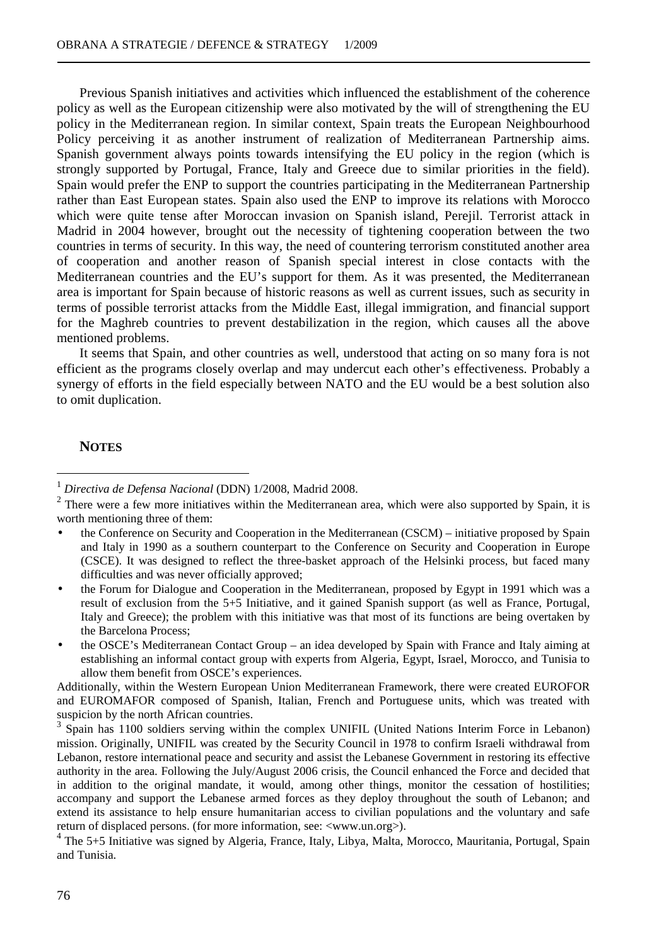Previous Spanish initiatives and activities which influenced the establishment of the coherence policy as well as the European citizenship were also motivated by the will of strengthening the EU policy in the Mediterranean region. In similar context, Spain treats the European Neighbourhood Policy perceiving it as another instrument of realization of Mediterranean Partnership aims. Spanish government always points towards intensifying the EU policy in the region (which is strongly supported by Portugal, France, Italy and Greece due to similar priorities in the field). Spain would prefer the ENP to support the countries participating in the Mediterranean Partnership rather than East European states. Spain also used the ENP to improve its relations with Morocco which were quite tense after Moroccan invasion on Spanish island, Perejil. Terrorist attack in Madrid in 2004 however, brought out the necessity of tightening cooperation between the two countries in terms of security. In this way, the need of countering terrorism constituted another area of cooperation and another reason of Spanish special interest in close contacts with the Mediterranean countries and the EU's support for them. As it was presented, the Mediterranean area is important for Spain because of historic reasons as well as current issues, such as security in terms of possible terrorist attacks from the Middle East, illegal immigration, and financial support for the Maghreb countries to prevent destabilization in the region, which causes all the above mentioned problems.

It seems that Spain, and other countries as well, understood that acting on so many fora is not efficient as the programs closely overlap and may undercut each other's effectiveness. Probably a synergy of efforts in the field especially between NATO and the EU would be a best solution also to omit duplication.

## **NOTES**

 $\overline{a}$ 

<sup>1</sup> *Directiva de Defensa Nacional* (DDN) 1/2008, Madrid 2008.

 $2$  There were a few more initiatives within the Mediterranean area, which were also supported by Spain, it is worth mentioning three of them:

the Conference on Security and Cooperation in the Mediterranean (CSCM) – initiative proposed by Spain and Italy in 1990 as a southern counterpart to the Conference on Security and Cooperation in Europe (CSCE). It was designed to reflect the three-basket approach of the Helsinki process, but faced many difficulties and was never officially approved;

<sup>•</sup> the Forum for Dialogue and Cooperation in the Mediterranean, proposed by Egypt in 1991 which was a result of exclusion from the 5+5 Initiative, and it gained Spanish support (as well as France, Portugal, Italy and Greece); the problem with this initiative was that most of its functions are being overtaken by the Barcelona Process;

<sup>•</sup> the OSCE's Mediterranean Contact Group – an idea developed by Spain with France and Italy aiming at establishing an informal contact group with experts from Algeria, Egypt, Israel, Morocco, and Tunisia to allow them benefit from OSCE's experiences.

Additionally, within the Western European Union Mediterranean Framework, there were created EUROFOR and EUROMAFOR composed of Spanish, Italian, French and Portuguese units, which was treated with suspicion by the north African countries.

<sup>3</sup> Spain has 1100 soldiers serving within the complex UNIFIL (United Nations Interim Force in Lebanon) mission. Originally, UNIFIL was created by the Security Council in 1978 to confirm Israeli withdrawal from Lebanon, restore international peace and security and assist the Lebanese Government in restoring its effective authority in the area. Following the July/August 2006 crisis, the Council enhanced the Force and decided that in addition to the original mandate, it would, among other things, monitor the cessation of hostilities; accompany and support the Lebanese armed forces as they deploy throughout the south of Lebanon; and extend its assistance to help ensure humanitarian access to civilian populations and the voluntary and safe return of displaced persons. (for more information, see: <www.un.org>).

<sup>&</sup>lt;sup>4</sup> The 5+5 Initiative was signed by Algeria, France, Italy, Libya, Malta, Morocco, Mauritania, Portugal, Spain and Tunisia.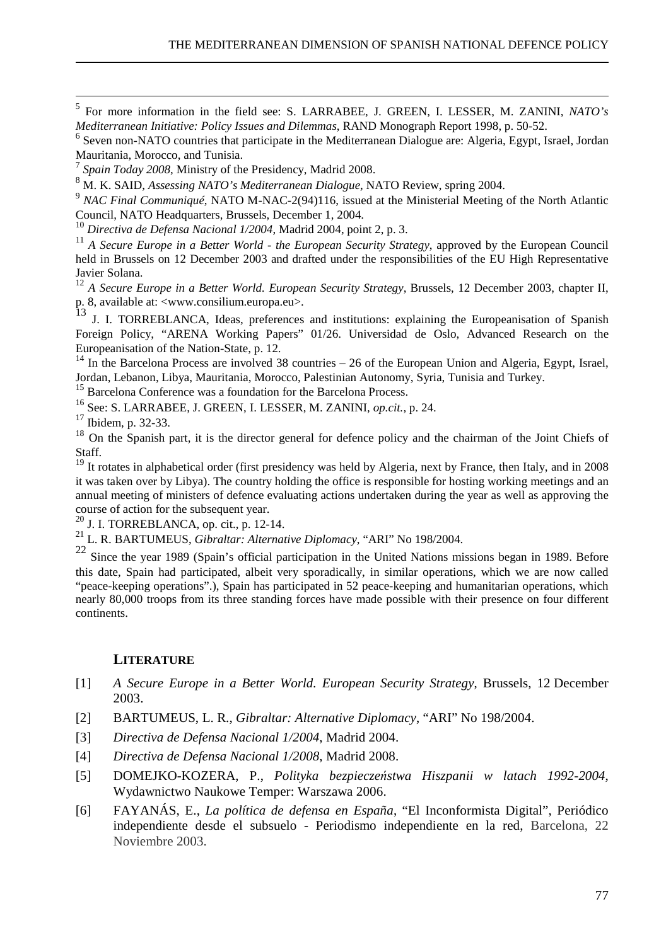5 For more information in the field see: S. LARRABEE, J. GREEN, I. LESSER, M. ZANINI, *NATO's Mediterranean Initiative: Policy Issues and Dilemmas*, RAND Monograph Report 1998, p. 50-52.

<sup>6</sup> Seven non-NATO countries that participate in the Mediterranean Dialogue are: Algeria, Egypt, Israel, Jordan Mauritania, Morocco, and Tunisia.

7  *Spain Today 2008*, Ministry of the Presidency, Madrid 2008.

8 M. K. SAID, *Assessing NATO's Mediterranean Dialogue*, NATO Review, spring 2004.

<sup>9</sup> NAC Final Communiqué, NATO M-NAC-2(94)116, issued at the Ministerial Meeting of the North Atlantic Council, NATO Headquarters, Brussels, December 1, 2004.

<sup>10</sup> *Directiva de Defensa Nacional 1/2004*, Madrid 2004, point 2, p. 3.

<sup>11</sup> A Secure Europe in a Better World - the European Security Strategy, approved by the European Council held in Brussels on 12 December 2003 and drafted under the responsibilities of the EU High Representative Javier Solana.

<sup>12</sup> A Secure Europe in a Better World. European Security Strategy, Brussels, 12 December 2003, chapter II, p. 8, available at:  $\langle$ www.consilium.europa.eu>.<br>13 -

<sup>13</sup> J. I. TORREBLANCA, Ideas, preferences and institutions: explaining the Europeanisation of Spanish Foreign Policy, "ARENA Working Papers" 01/26. Universidad de Oslo, Advanced Research on the Europeanisation of the Nation-State, p. 12.

<sup>14</sup> In the Barcelona Process are involved 38 countries – 26 of the European Union and Algeria, Egypt, Israel, Jordan, Lebanon, Libya, Mauritania, Morocco, Palestinian Autonomy, Syria, Tunisia and Turkey.

<sup>15</sup> Barcelona Conference was a foundation for the Barcelona Process.

<sup>16</sup> See: S. LARRABEE, J. GREEN, I. LESSER, M. ZANINI, *op.cit.*, p. 24.

<sup>17</sup> Ibidem, p. 32-33.

 $\overline{a}$ 

<sup>18</sup> On the Spanish part, it is the director general for defence policy and the chairman of the Joint Chiefs of Staff.

<sup>19</sup> It rotates in alphabetical order (first presidency was held by Algeria, next by France, then Italy, and in 2008 it was taken over by Libya). The country holding the office is responsible for hosting working meetings and an annual meeting of ministers of defence evaluating actions undertaken during the year as well as approving the  $\frac{1}{2}$  course of action for the subsequent year.

<sup>20</sup> J. I. TORREBLANCA, op. cit., p. 12-14.

<sup>21</sup> L. R. BARTUMEUS, *Gibraltar: Alternative Diplomacy*, "ARI" No 198/2004.

22 Since the year 1989 (Spain's official participation in the United Nations missions began in 1989. Before this date, Spain had participated, albeit very sporadically, in similar operations, which we are now called "peace-keeping operations".), Spain has participated in 52 peace-keeping and humanitarian operations, which nearly 80,000 troops from its three standing forces have made possible with their presence on four different continents.

## **LITERATURE**

- [1] *A Secure Europe in a Better World. European Security Strategy*, Brussels, 12 December 2003.
- [2] BARTUMEUS, L. R., *Gibraltar: Alternative Diplomacy*, "ARI" No 198/2004.
- [3] *Directiva de Defensa Nacional 1/2004*, Madrid 2004.
- [4] *Directiva de Defensa Nacional 1/2008*, Madrid 2008.
- [5] DOMEJKO-KOZERA, P., *Polityka bezpieczeństwa Hiszpanii w latach 1992-2004*, Wydawnictwo Naukowe Temper: Warszawa 2006.
- [6] FAYANÁS, E., *La política de defensa en España*, "El Inconformista Digital", Periódico independiente desde el subsuelo - Periodismo independiente en la red, Barcelona, 22 Noviembre 2003.